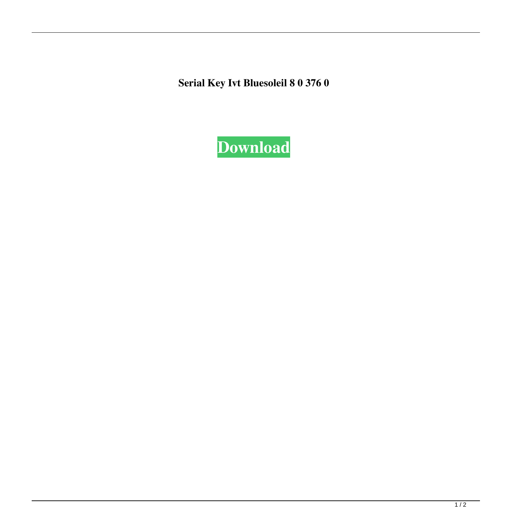Serial Key Ivt Bluesoleil 8 0 376 0